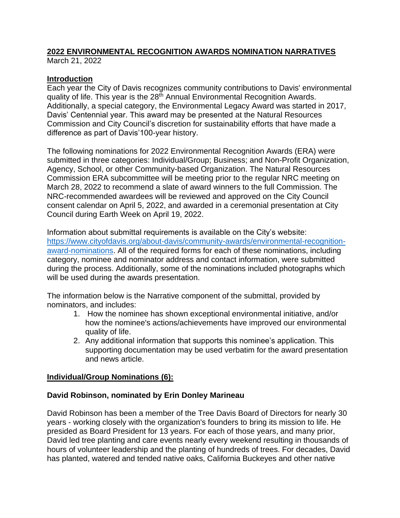# **2022 ENVIRONMENTAL RECOGNITION AWARDS NOMINATION NARRATIVES**

March 21, 2022

## **Introduction**

Each year the City of Davis recognizes community contributions to Davis' environmental quality of life. This year is the 28<sup>th</sup> Annual Environmental Recognition Awards. Additionally, a special category, the Environmental Legacy Award was started in 2017, Davis' Centennial year. This award may be presented at the Natural Resources Commission and City Council's discretion for sustainability efforts that have made a difference as part of Davis'100-year history.

The following nominations for 2022 Environmental Recognition Awards (ERA) were submitted in three categories: Individual/Group; Business; and Non-Profit Organization, Agency, School, or other Community-based Organization. The Natural Resources Commission ERA subcommittee will be meeting prior to the regular NRC meeting on March 28, 2022 to recommend a slate of award winners to the full Commission. The NRC-recommended awardees will be reviewed and approved on the City Council consent calendar on April 5, 2022, and awarded in a ceremonial presentation at City Council during Earth Week on April 19, 2022.

Information about submittal requirements is available on the City's website: [https://www.cityofdavis.org/about-davis/community-awards/environmental-recognition](https://www.cityofdavis.org/about-davis/community-awards/environmental-recognition-award-nominations)[award-nominations.](https://www.cityofdavis.org/about-davis/community-awards/environmental-recognition-award-nominations) All of the required forms for each of these nominations, including category, nominee and nominator address and contact information, were submitted during the process. Additionally, some of the nominations included photographs which will be used during the awards presentation.

The information below is the Narrative component of the submittal, provided by nominators, and includes:

- 1. How the nominee has shown exceptional environmental initiative, and/or how the nominee's actions/achievements have improved our environmental quality of life.
- 2. Any additional information that supports this nominee's application. This supporting documentation may be used verbatim for the award presentation and news article.

# **Individual/Group Nominations (6):**

#### **David Robinson, nominated by Erin Donley Marineau**

David Robinson has been a member of the Tree Davis Board of Directors for nearly 30 years - working closely with the organization's founders to bring its mission to life. He presided as Board President for 13 years. For each of those years, and many prior, David led tree planting and care events nearly every weekend resulting in thousands of hours of volunteer leadership and the planting of hundreds of trees. For decades, David has planted, watered and tended native oaks, California Buckeyes and other native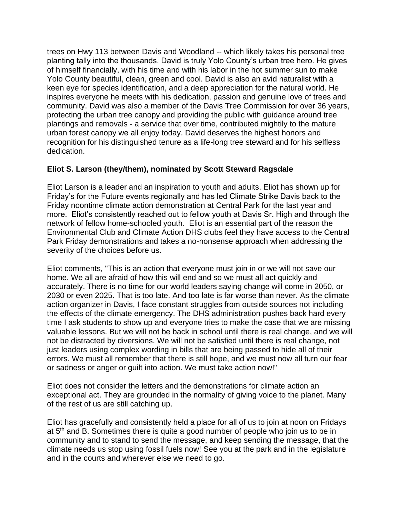trees on Hwy 113 between Davis and Woodland -- which likely takes his personal tree planting tally into the thousands. David is truly Yolo County's urban tree hero. He gives of himself financially, with his time and with his labor in the hot summer sun to make Yolo County beautiful, clean, green and cool. David is also an avid naturalist with a keen eye for species identification, and a deep appreciation for the natural world. He inspires everyone he meets with his dedication, passion and genuine love of trees and community. David was also a member of the Davis Tree Commission for over 36 years, protecting the urban tree canopy and providing the public with guidance around tree plantings and removals - a service that over time, contributed mightily to the mature urban forest canopy we all enjoy today. David deserves the highest honors and recognition for his distinguished tenure as a life-long tree steward and for his selfless dedication.

## **Eliot S. Larson (they/them), nominated by Scott Steward Ragsdale**

Eliot Larson is a leader and an inspiration to youth and adults. Eliot has shown up for Friday's for the Future events regionally and has led Climate Strike Davis back to the Friday noontime climate action demonstration at Central Park for the last year and more. Eliot's consistently reached out to fellow youth at Davis Sr. High and through the network of fellow home-schooled youth. Eliot is an essential part of the reason the Environmental Club and Climate Action DHS clubs feel they have access to the Central Park Friday demonstrations and takes a no-nonsense approach when addressing the severity of the choices before us.

Eliot comments, "This is an action that everyone must join in or we will not save our home. We all are afraid of how this will end and so we must all act quickly and accurately. There is no time for our world leaders saying change will come in 2050, or 2030 or even 2025. That is too late. And too late is far worse than never. As the climate action organizer in Davis, I face constant struggles from outside sources not including the effects of the climate emergency. The DHS administration pushes back hard every time I ask students to show up and everyone tries to make the case that we are missing valuable lessons. But we will not be back in school until there is real change, and we will not be distracted by diversions. We will not be satisfied until there is real change, not just leaders using complex wording in bills that are being passed to hide all of their errors. We must all remember that there is still hope, and we must now all turn our fear or sadness or anger or guilt into action. We must take action now!"

Eliot does not consider the letters and the demonstrations for climate action an exceptional act. They are grounded in the normality of giving voice to the planet. Many of the rest of us are still catching up.

Eliot has gracefully and consistently held a place for all of us to join at noon on Fridays at 5<sup>th</sup> and B. Sometimes there is quite a good number of people who join us to be in community and to stand to send the message, and keep sending the message, that the climate needs us stop using fossil fuels now! See you at the park and in the legislature and in the courts and wherever else we need to go.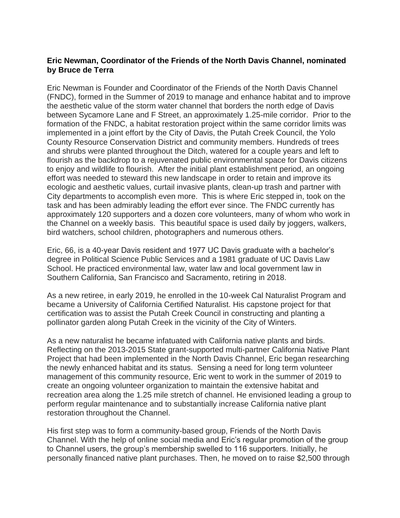#### **Eric Newman, Coordinator of the Friends of the North Davis Channel, nominated by Bruce de Terra**

Eric Newman is Founder and Coordinator of the Friends of the North Davis Channel (FNDC), formed in the Summer of 2019 to manage and enhance habitat and to improve the aesthetic value of the storm water channel that borders the north edge of Davis between Sycamore Lane and F Street, an approximately 1.25-mile corridor. Prior to the formation of the FNDC, a habitat restoration project within the same corridor limits was implemented in a joint effort by the City of Davis, the Putah Creek Council, the Yolo County Resource Conservation District and community members. Hundreds of trees and shrubs were planted throughout the Ditch, watered for a couple years and left to flourish as the backdrop to a rejuvenated public environmental space for Davis citizens to enjoy and wildlife to flourish. After the initial plant establishment period, an ongoing effort was needed to steward this new landscape in order to retain and improve its ecologic and aesthetic values, curtail invasive plants, clean-up trash and partner with City departments to accomplish even more. This is where Eric stepped in, took on the task and has been admirably leading the effort ever since. The FNDC currently has approximately 120 supporters and a dozen core volunteers, many of whom who work in the Channel on a weekly basis. This beautiful space is used daily by joggers, walkers, bird watchers, school children, photographers and numerous others.

Eric, 66, is a 40-year Davis resident and 1977 UC Davis graduate with a bachelor's degree in Political Science Public Services and a 1981 graduate of UC Davis Law School. He practiced environmental law, water law and local government law in Southern California, San Francisco and Sacramento, retiring in 2018.

As a new retiree, in early 2019, he enrolled in the 10-week Cal Naturalist Program and became a University of California Certified Naturalist. His capstone project for that certification was to assist the Putah Creek Council in constructing and planting a pollinator garden along Putah Creek in the vicinity of the City of Winters.

As a new naturalist he became infatuated with California native plants and birds. Reflecting on the 2013-2015 State grant-supported multi-partner California Native Plant Project that had been implemented in the North Davis Channel, Eric began researching the newly enhanced habitat and its status. Sensing a need for long term volunteer management of this community resource, Eric went to work in the summer of 2019 to create an ongoing volunteer organization to maintain the extensive habitat and recreation area along the 1.25 mile stretch of channel. He envisioned leading a group to perform regular maintenance and to substantially increase California native plant restoration throughout the Channel.

His first step was to form a community-based group, Friends of the North Davis Channel. With the help of online social media and Eric's regular promotion of the group to Channel users, the group's membership swelled to 116 supporters. Initially, he personally financed native plant purchases. Then, he moved on to raise \$2,500 through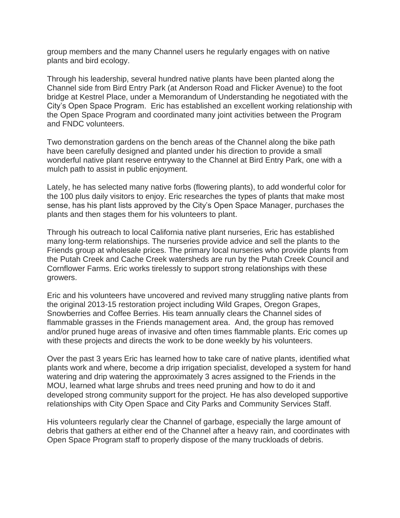group members and the many Channel users he regularly engages with on native plants and bird ecology.

Through his leadership, several hundred native plants have been planted along the Channel side from Bird Entry Park (at Anderson Road and Flicker Avenue) to the foot bridge at Kestrel Place, under a Memorandum of Understanding he negotiated with the City's Open Space Program. Eric has established an excellent working relationship with the Open Space Program and coordinated many joint activities between the Program and FNDC volunteers.

Two demonstration gardens on the bench areas of the Channel along the bike path have been carefully designed and planted under his direction to provide a small wonderful native plant reserve entryway to the Channel at Bird Entry Park, one with a mulch path to assist in public enjoyment.

Lately, he has selected many native forbs (flowering plants), to add wonderful color for the 100 plus daily visitors to enjoy. Eric researches the types of plants that make most sense, has his plant lists approved by the City's Open Space Manager, purchases the plants and then stages them for his volunteers to plant.

Through his outreach to local California native plant nurseries, Eric has established many long-term relationships. The nurseries provide advice and sell the plants to the Friends group at wholesale prices. The primary local nurseries who provide plants from the Putah Creek and Cache Creek watersheds are run by the Putah Creek Council and Cornflower Farms. Eric works tirelessly to support strong relationships with these growers.

Eric and his volunteers have uncovered and revived many struggling native plants from the original 2013-15 restoration project including Wild Grapes, Oregon Grapes, Snowberries and Coffee Berries. His team annually clears the Channel sides of flammable grasses in the Friends management area. And, the group has removed and/or pruned huge areas of invasive and often times flammable plants. Eric comes up with these projects and directs the work to be done weekly by his volunteers.

Over the past 3 years Eric has learned how to take care of native plants, identified what plants work and where, become a drip irrigation specialist, developed a system for hand watering and drip watering the approximately 3 acres assigned to the Friends in the MOU, learned what large shrubs and trees need pruning and how to do it and developed strong community support for the project. He has also developed supportive relationships with City Open Space and City Parks and Community Services Staff.

His volunteers regularly clear the Channel of garbage, especially the large amount of debris that gathers at either end of the Channel after a heavy rain, and coordinates with Open Space Program staff to properly dispose of the many truckloads of debris.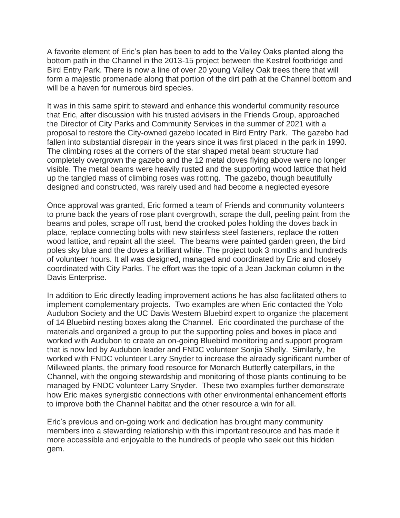A favorite element of Eric's plan has been to add to the Valley Oaks planted along the bottom path in the Channel in the 2013-15 project between the Kestrel footbridge and Bird Entry Park. There is now a line of over 20 young Valley Oak trees there that will form a majestic promenade along that portion of the dirt path at the Channel bottom and will be a haven for numerous bird species.

It was in this same spirit to steward and enhance this wonderful community resource that Eric, after discussion with his trusted advisers in the Friends Group, approached the Director of City Parks and Community Services in the summer of 2021 with a proposal to restore the City-owned gazebo located in Bird Entry Park. The gazebo had fallen into substantial disrepair in the years since it was first placed in the park in 1990. The climbing roses at the corners of the star shaped metal beam structure had completely overgrown the gazebo and the 12 metal doves flying above were no longer visible. The metal beams were heavily rusted and the supporting wood lattice that held up the tangled mass of climbing roses was rotting. The gazebo, though beautifully designed and constructed, was rarely used and had become a neglected eyesore

Once approval was granted, Eric formed a team of Friends and community volunteers to prune back the years of rose plant overgrowth, scrape the dull, peeling paint from the beams and poles, scrape off rust, bend the crooked poles holding the doves back in place, replace connecting bolts with new stainless steel fasteners, replace the rotten wood lattice, and repaint all the steel. The beams were painted garden green, the bird poles sky blue and the doves a brilliant white. The project took 3 months and hundreds of volunteer hours. It all was designed, managed and coordinated by Eric and closely coordinated with City Parks. The effort was the topic of a Jean Jackman column in the Davis Enterprise.

In addition to Eric directly leading improvement actions he has also facilitated others to implement complementary projects. Two examples are when Eric contacted the Yolo Audubon Society and the UC Davis Western Bluebird expert to organize the placement of 14 Bluebird nesting boxes along the Channel. Eric coordinated the purchase of the materials and organized a group to put the supporting poles and boxes in place and worked with Audubon to create an on-going Bluebird monitoring and support program that is now led by Audubon leader and FNDC volunteer Sonjia Shelly. Similarly, he worked with FNDC volunteer Larry Snyder to increase the already significant number of Milkweed plants, the primary food resource for Monarch Butterfly caterpillars, in the Channel, with the ongoing stewardship and monitoring of those plants continuing to be managed by FNDC volunteer Larry Snyder. These two examples further demonstrate how Eric makes synergistic connections with other environmental enhancement efforts to improve both the Channel habitat and the other resource a win for all.

Eric's previous and on-going work and dedication has brought many community members into a stewarding relationship with this important resource and has made it more accessible and enjoyable to the hundreds of people who seek out this hidden gem.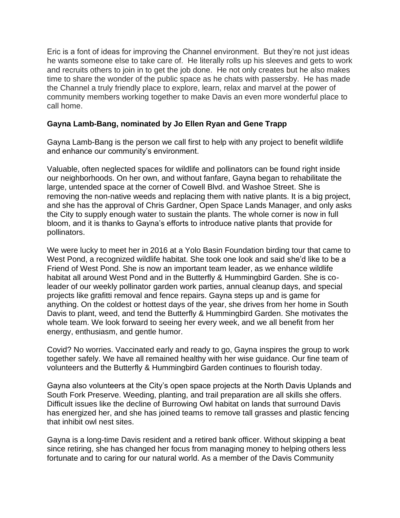Eric is a font of ideas for improving the Channel environment. But they're not just ideas he wants someone else to take care of. He literally rolls up his sleeves and gets to work and recruits others to join in to get the job done. He not only creates but he also makes time to share the wonder of the public space as he chats with passersby. He has made the Channel a truly friendly place to explore, learn, relax and marvel at the power of community members working together to make Davis an even more wonderful place to call home.

## **Gayna Lamb-Bang, nominated by Jo Ellen Ryan and Gene Trapp**

Gayna Lamb-Bang is the person we call first to help with any project to benefit wildlife and enhance our community's environment.

Valuable, often neglected spaces for wildlife and pollinators can be found right inside our neighborhoods. On her own, and without fanfare, Gayna began to rehabilitate the large, untended space at the corner of Cowell Blvd. and Washoe Street. She is removing the non-native weeds and replacing them with native plants. It is a big project, and she has the approval of Chris Gardner, Open Space Lands Manager, and only asks the City to supply enough water to sustain the plants. The whole corner is now in full bloom, and it is thanks to Gayna's efforts to introduce native plants that provide for pollinators.

We were lucky to meet her in 2016 at a Yolo Basin Foundation birding tour that came to West Pond, a recognized wildlife habitat. She took one look and said she'd like to be a Friend of West Pond. She is now an important team leader, as we enhance wildlife habitat all around West Pond and in the Butterfly & Hummingbird Garden. She is coleader of our weekly pollinator garden work parties, annual cleanup days, and special projects like grafitti removal and fence repairs. Gayna steps up and is game for anything. On the coldest or hottest days of the year, she drives from her home in South Davis to plant, weed, and tend the Butterfly & Hummingbird Garden. She motivates the whole team. We look forward to seeing her every week, and we all benefit from her energy, enthusiasm, and gentle humor.

Covid? No worries. Vaccinated early and ready to go, Gayna inspires the group to work together safely. We have all remained healthy with her wise guidance. Our fine team of volunteers and the Butterfly & Hummingbird Garden continues to flourish today.

Gayna also volunteers at the City's open space projects at the North Davis Uplands and South Fork Preserve. Weeding, planting, and trail preparation are all skills she offers. Difficult issues like the decline of Burrowing Owl habitat on lands that surround Davis has energized her, and she has joined teams to remove tall grasses and plastic fencing that inhibit owl nest sites.

Gayna is a long-time Davis resident and a retired bank officer. Without skipping a beat since retiring, she has changed her focus from managing money to helping others less fortunate and to caring for our natural world. As a member of the Davis Community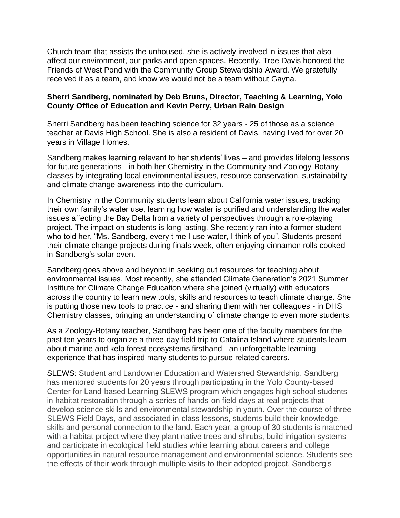Church team that assists the unhoused, she is actively involved in issues that also affect our environment, our parks and open spaces. Recently, Tree Davis honored the Friends of West Pond with the Community Group Stewardship Award. We gratefully received it as a team, and know we would not be a team without Gayna.

#### **Sherri Sandberg, nominated by Deb Bruns, Director, Teaching & Learning, Yolo County Office of Education and Kevin Perry, Urban Rain Design**

Sherri Sandberg has been teaching science for 32 years - 25 of those as a science teacher at Davis High School. She is also a resident of Davis, having lived for over 20 years in Village Homes.

Sandberg makes learning relevant to her students' lives – and provides lifelong lessons for future generations - in both her Chemistry in the Community and Zoology-Botany classes by integrating local environmental issues, resource conservation, sustainability and climate change awareness into the curriculum.

In Chemistry in the Community students learn about California water issues, tracking their own family's water use, learning how water is purified and understanding the water issues affecting the Bay Delta from a variety of perspectives through a role-playing project. The impact on students is long lasting. She recently ran into a former student who told her, "Ms. Sandberg, every time I use water, I think of you". Students present their climate change projects during finals week, often enjoying cinnamon rolls cooked in Sandberg's solar oven.

Sandberg goes above and beyond in seeking out resources for teaching about environmental issues. Most recently, she attended Climate Generation's 2021 Summer Institute for Climate Change Education where she joined (virtually) with educators across the country to learn new tools, skills and resources to teach climate change. She is putting those new tools to practice - and sharing them with her colleagues - in DHS Chemistry classes, bringing an understanding of climate change to even more students.

As a Zoology-Botany teacher, Sandberg has been one of the faculty members for the past ten years to organize a three-day field trip to Catalina Island where students learn about marine and kelp forest ecosystems firsthand - an unforgettable learning experience that has inspired many students to pursue related careers.

SLEWS: Student and Landowner Education and Watershed Stewardship. Sandberg has mentored students for 20 years through participating in the Yolo County-based Center for Land-based Learning SLEWS program which engages high school students in habitat restoration through a series of hands-on field days at real projects that develop science skills and environmental stewardship in youth. Over the course of three SLEWS Field Days, and associated in-class lessons, students build their knowledge, skills and personal connection to the land. Each year, a group of 30 students is matched with a habitat project where they plant native trees and shrubs, build irrigation systems and participate in ecological field studies while learning about careers and college opportunities in natural resource management and environmental science. Students see the effects of their work through multiple visits to their adopted project. Sandberg's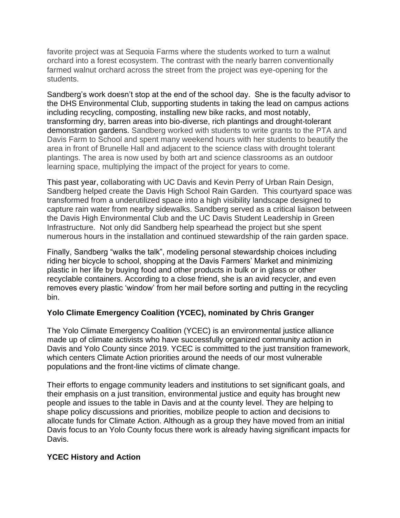favorite project was at Sequoia Farms where the students worked to turn a walnut orchard into a forest ecosystem. The contrast with the nearly barren conventionally farmed walnut orchard across the street from the project was eye-opening for the students.

Sandberg's work doesn't stop at the end of the school day. She is the faculty advisor to the DHS Environmental Club, supporting students in taking the lead on campus actions including recycling, composting, installing new bike racks, and most notably, transforming dry, barren areas into bio-diverse, rich plantings and drought-tolerant demonstration gardens. Sandberg worked with students to write grants to the PTA and Davis Farm to School and spent many weekend hours with her students to beautify the area in front of Brunelle Hall and adjacent to the science class with drought tolerant plantings. The area is now used by both art and science classrooms as an outdoor learning space, multiplying the impact of the project for years to come.

This past year, collaborating with UC Davis and Kevin Perry of Urban Rain Design, Sandberg helped create the Davis High School Rain Garden. This courtyard space was transformed from a underutilized space into a high visibility landscape designed to capture rain water from nearby sidewalks. Sandberg served as a critical liaison between the Davis High Environmental Club and the UC Davis Student Leadership in Green Infrastructure. Not only did Sandberg help spearhead the project but she spent numerous hours in the installation and continued stewardship of the rain garden space.

Finally, Sandberg "walks the talk", modeling personal stewardship choices including riding her bicycle to school, shopping at the Davis Farmers' Market and minimizing plastic in her life by buying food and other products in bulk or in glass or other recyclable containers. According to a close friend, she is an avid recycler, and even removes every plastic 'window' from her mail before sorting and putting in the recycling bin.

# **Yolo Climate Emergency Coalition (YCEC), nominated by Chris Granger**

The Yolo Climate Emergency Coalition (YCEC) is an environmental justice alliance made up of climate activists who have successfully organized community action in Davis and Yolo County since 2019. YCEC is committed to the just transition framework, which centers Climate Action priorities around the needs of our most vulnerable populations and the front-line victims of climate change.

Their efforts to engage community leaders and institutions to set significant goals, and their emphasis on a just transition, environmental justice and equity has brought new people and issues to the table in Davis and at the county level. They are helping to shape policy discussions and priorities, mobilize people to action and decisions to allocate funds for Climate Action. Although as a group they have moved from an initial Davis focus to an Yolo County focus there work is already having significant impacts for Davis.

#### **YCEC History and Action**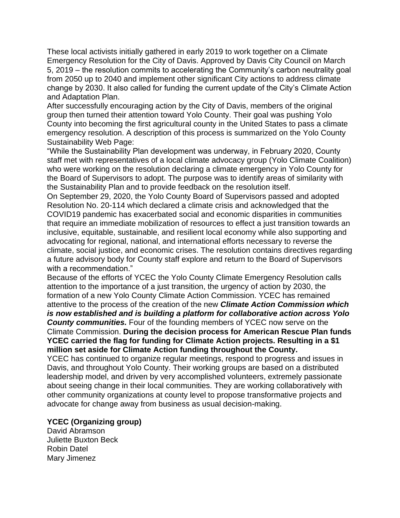These local activists initially gathered in early 2019 to work together on a Climate Emergency Resolution for the City of Davis. Approved by Davis City Council on March 5, 2019 – the resolution commits to accelerating the Community's carbon neutrality goal from 2050 up to 2040 and implement other significant City actions to address climate change by 2030. It also called for funding the current update of the City's Climate Action and Adaptation Plan.

After successfully encouraging action by the City of Davis, members of the original group then turned their attention toward Yolo County. Their goal was pushing Yolo County into becoming the first agricultural county in the United States to pass a climate emergency resolution. A description of this process is summarized on the Yolo County Sustainability Web Page:

"While the Sustainability Plan development was underway, in February 2020, County staff met with representatives of a local climate advocacy group (Yolo Climate Coalition) who were working on the resolution declaring a climate emergency in Yolo County for the Board of Supervisors to adopt. The purpose was to identify areas of similarity with the Sustainability Plan and to provide feedback on the resolution itself.

On September 29, 2020, the Yolo County Board of Supervisors passed and adopted Resolution No. 20-114 which declared a climate crisis and acknowledged that the COVID19 pandemic has exacerbated social and economic disparities in communities that require an immediate mobilization of resources to effect a just transition towards an inclusive, equitable, sustainable, and resilient local economy while also supporting and advocating for regional, national, and international efforts necessary to reverse the climate, social justice, and economic crises. The resolution contains directives regarding a future advisory body for County staff explore and return to the Board of Supervisors with a recommendation."

Because of the efforts of YCEC the Yolo County Climate Emergency Resolution calls attention to the importance of a just transition, the urgency of action by 2030, the formation of a new Yolo County Climate Action Commission. YCEC has remained attentive to the process of the creation of the new *Climate Action Commission which is now established and is building a platform for collaborative action across Yolo*  **County communities.** Four of the founding members of YCEC now serve on the Climate Commission. **During the decision process for American Rescue Plan funds YCEC carried the flag for funding for Climate Action projects. Resulting in a \$1 million set aside for Climate Action funding throughout the County.** 

YCEC has continued to organize regular meetings, respond to progress and issues in Davis, and throughout Yolo County. Their working groups are based on a distributed leadership model, and driven by very accomplished volunteers, extremely passionate about seeing change in their local communities. They are working collaboratively with other community organizations at county level to propose transformative projects and advocate for change away from business as usual decision-making.

# **YCEC (Organizing group)**

David Abramson Juliette Buxton Beck Robin Datel Mary Jimenez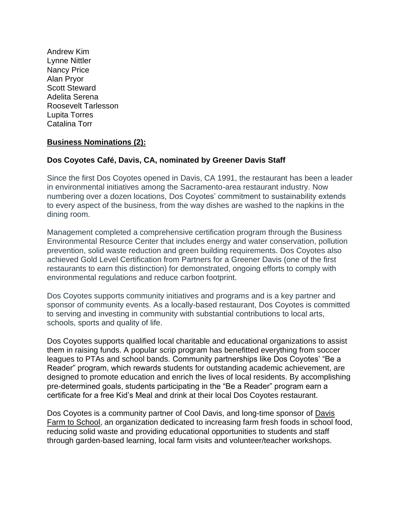Andrew Kim Lynne Nittler Nancy Price Alan Pryor Scott Steward Adelita Serena Roosevelt Tarlesson Lupita Torres Catalina Torr

## **Business Nominations (2):**

#### **Dos Coyotes Café, Davis, CA, nominated by Greener Davis Staff**

Since the first Dos Coyotes opened in Davis, CA 1991, the restaurant has been a leader in environmental initiatives among the Sacramento-area restaurant industry. Now numbering over a dozen locations, Dos Coyotes' commitment to sustainability extends to every aspect of the business, from the way dishes are washed to the napkins in the dining room.

Management completed a comprehensive certification program through the Business Environmental Resource Center that includes energy and water conservation, pollution prevention, solid waste reduction and green building requirements. Dos Coyotes also achieved Gold Level Certification from Partners for a Greener Davis (one of the first restaurants to earn this distinction) for demonstrated, ongoing efforts to comply with environmental regulations and reduce carbon footprint.

Dos Coyotes supports community initiatives and programs and is a key partner and sponsor of community events. As a locally-based restaurant, Dos Coyotes is committed to serving and investing in community with substantial contributions to local arts, schools, sports and quality of life.

Dos Coyotes supports qualified local charitable and educational organizations to assist them in raising funds. A popular scrip program has benefitted everything from soccer leagues to PTAs and school bands. Community partnerships like Dos Coyotes' "Be a Reader" program, which rewards students for outstanding academic achievement, are designed to promote education and enrich the lives of local residents. By accomplishing pre-determined goals, students participating in the "Be a Reader" program earn a certificate for a free Kid's Meal and drink at their local Dos Coyotes restaurant.

Dos Coyotes is a community partner of Cool Davis, and long-time sponsor of Davis [Farm to School,](http://www.davisfarmtoschool.org/) an organization dedicated to increasing farm fresh foods in school food, reducing solid waste and providing educational opportunities to students and staff through garden-based learning, local farm visits and volunteer/teacher workshops.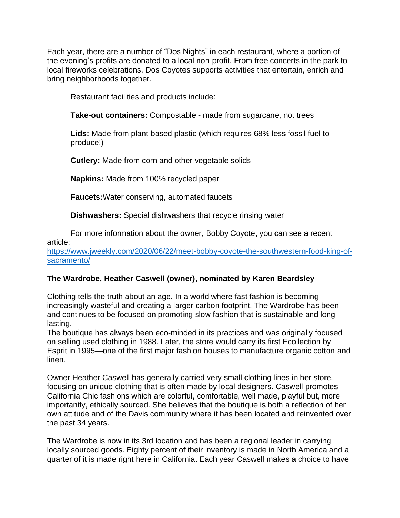Each year, there are a number of "Dos Nights" in each restaurant, where a portion of the evening's profits are donated to a local non-profit. From free concerts in the park to local fireworks celebrations, Dos Coyotes supports activities that entertain, enrich and bring neighborhoods together.

Restaurant facilities and products include:

**Take-out containers:** Compostable - made from sugarcane, not trees

**Lids:** Made from plant-based plastic (which requires 68% less fossil fuel to produce!)

**Cutlery:** Made from corn and other vegetable solids

**Napkins:** Made from 100% recycled paper

**Faucets:**Water conserving, automated faucets

**Dishwashers:** Special dishwashers that recycle rinsing water

For more information about the owner, Bobby Coyote, you can see a recent article:

[https://www.jweekly.com/2020/06/22/meet-bobby-coyote-the-southwestern-food-king-of](https://www.jweekly.com/2020/06/22/meet-bobby-coyote-the-southwestern-food-king-of-sacramento/)[sacramento/](https://www.jweekly.com/2020/06/22/meet-bobby-coyote-the-southwestern-food-king-of-sacramento/)

# **The Wardrobe, Heather Caswell (owner), nominated by Karen Beardsley**

Clothing tells the truth about an age. In a world where fast fashion is becoming increasingly wasteful and creating a larger carbon footprint, The Wardrobe has been and continues to be focused on promoting slow fashion that is sustainable and longlasting.

The boutique has always been eco-minded in its practices and was originally focused on selling used clothing in 1988. Later, the store would carry its first Ecollection by Esprit in 1995—one of the first major fashion houses to manufacture organic cotton and linen.

Owner Heather Caswell has generally carried very small clothing lines in her store, focusing on unique clothing that is often made by local designers. Caswell promotes California Chic fashions which are colorful, comfortable, well made, playful but, more importantly, ethically sourced. She believes that the boutique is both a reflection of her own attitude and of the Davis community where it has been located and reinvented over the past 34 years.

The Wardrobe is now in its 3rd location and has been a regional leader in carrying locally sourced goods. Eighty percent of their inventory is made in North America and a quarter of it is made right here in California. Each year Caswell makes a choice to have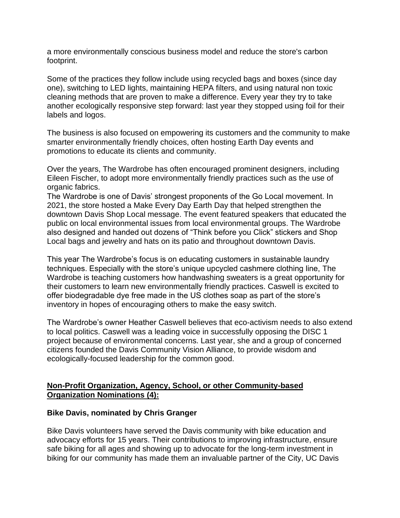a more environmentally conscious business model and reduce the store's carbon footprint.

Some of the practices they follow include using recycled bags and boxes (since day one), switching to LED lights, maintaining HEPA filters, and using natural non toxic cleaning methods that are proven to make a difference. Every year they try to take another ecologically responsive step forward: last year they stopped using foil for their labels and logos.

The business is also focused on empowering its customers and the community to make smarter environmentally friendly choices, often hosting Earth Day events and promotions to educate its clients and community.

Over the years, The Wardrobe has often encouraged prominent designers, including Eileen Fischer, to adopt more environmentally friendly practices such as the use of organic fabrics.

The Wardrobe is one of Davis' strongest proponents of the Go Local movement. In 2021, the store hosted a Make Every Day Earth Day that helped strengthen the downtown Davis Shop Local message. The event featured speakers that educated the public on local environmental issues from local environmental groups. The Wardrobe also designed and handed out dozens of "Think before you Click" stickers and Shop Local bags and jewelry and hats on its patio and throughout downtown Davis.

This year The Wardrobe's focus is on educating customers in sustainable laundry techniques. Especially with the store's unique upcycled cashmere clothing line, The Wardrobe is teaching customers how handwashing sweaters is a great opportunity for their customers to learn new environmentally friendly practices. Caswell is excited to offer biodegradable dye free made in the US clothes soap as part of the store's inventory in hopes of encouraging others to make the easy switch.

The Wardrobe's owner Heather Caswell believes that eco-activism needs to also extend to local politics. Caswell was a leading voice in successfully opposing the DISC 1 project because of environmental concerns. Last year, she and a group of concerned citizens founded the Davis Community Vision Alliance, to provide wisdom and ecologically-focused leadership for the common good.

#### **Non-Profit Organization, Agency, School, or other Community-based Organization Nominations (4):**

#### **Bike Davis, nominated by Chris Granger**

Bike Davis volunteers have served the Davis community with bike education and advocacy efforts for 15 years. Their contributions to improving infrastructure, ensure safe biking for all ages and showing up to advocate for the long-term investment in biking for our community has made them an invaluable partner of the City, UC Davis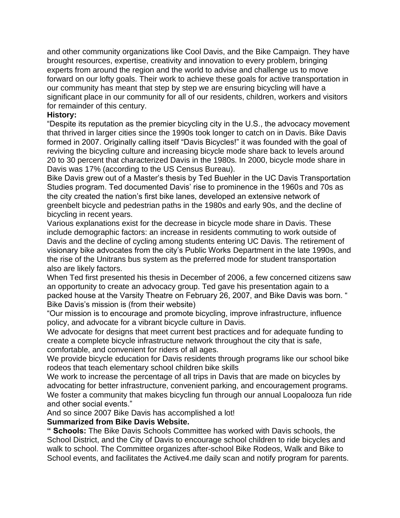and other community organizations like Cool Davis, and the Bike Campaign. They have brought resources, expertise, creativity and innovation to every problem, bringing experts from around the region and the world to advise and challenge us to move forward on our lofty goals. Their work to achieve these goals for active transportation in our community has meant that step by step we are ensuring bicycling will have a significant place in our community for all of our residents, children, workers and visitors for remainder of this century.

#### **History:**

"Despite its reputation as the premier bicycling city in the U.S., the advocacy movement that thrived in larger cities since the 1990s took longer to catch on in Davis. Bike Davis formed in 2007. Originally calling itself "Davis Bicycles!" it was founded with the goal of reviving the bicycling culture and increasing bicycle mode share back to levels around 20 to 30 percent that characterized Davis in the 1980s. In 2000, bicycle mode share in Davis was 17% (according to the US Census Bureau).

Bike Davis grew out of a Master's thesis by Ted Buehler in the UC Davis Transportation Studies program. Ted documented Davis' rise to prominence in the 1960s and 70s as the city created the nation's first bike lanes, developed an extensive network of greenbelt bicycle and pedestrian paths in the 1980s and early 90s, and the decline of bicycling in recent years.

Various explanations exist for the decrease in bicycle mode share in Davis. These include demographic factors: an increase in residents commuting to work outside of Davis and the decline of cycling among students entering UC Davis. The retirement of visionary bike advocates from the city's Public Works Department in the late 1990s, and the rise of the Unitrans bus system as the preferred mode for student transportation also are likely factors.

When Ted first presented his thesis in December of 2006, a few concerned citizens saw an opportunity to create an advocacy group. Ted gave his presentation again to a packed house at the Varsity Theatre on February 26, 2007, and Bike Davis was born. " Bike Davis's mission is (from their website)

"Our mission is to encourage and promote bicycling, improve infrastructure, influence policy, and advocate for a vibrant bicycle culture in Davis.

We advocate for designs that meet current best practices and for adequate funding to create a complete bicycle infrastructure network throughout the city that is safe, comfortable, and convenient for riders of all ages.

We provide bicycle education for Davis residents through programs like our school bike rodeos that teach elementary school children bike skills

We work to increase the percentage of all trips in Davis that are made on bicycles by advocating for better infrastructure, convenient parking, and encouragement programs. We foster a community that makes bicycling fun through our annual Loopalooza fun ride and other social events."

And so since 2007 Bike Davis has accomplished a lot!

#### **Summarized from Bike Davis Website.**

**" Schools:** The Bike Davis Schools Committee has worked with Davis schools, the School District, and the City of Davis to encourage school children to ride bicycles and walk to school. The Committee organizes after-school Bike Rodeos, Walk and Bike to School events, and facilitates the Active4.me daily scan and notify program for parents.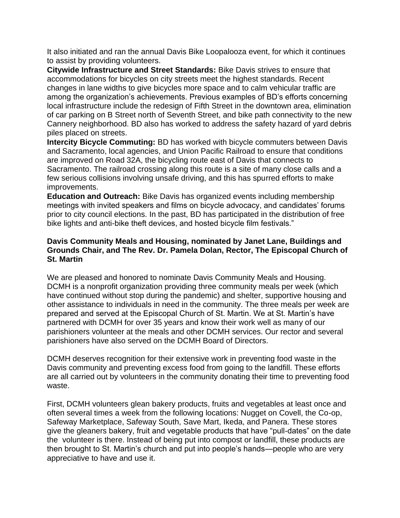It also initiated and ran the annual Davis Bike Loopalooza event, for which it continues to assist by providing volunteers.

**Citywide Infrastructure and Street Standards:** Bike Davis strives to ensure that accommodations for bicycles on city streets meet the highest standards. Recent changes in lane widths to give bicycles more space and to calm vehicular traffic are among the organization's achievements. Previous examples of BD's efforts concerning local infrastructure include the redesign of Fifth Street in the downtown area, elimination of car parking on B Street north of Seventh Street, and bike path connectivity to the new Cannery neighborhood. BD also has worked to address the safety hazard of yard debris piles placed on streets.

**Intercity Bicycle Commuting:** BD has worked with bicycle commuters between Davis and Sacramento, local agencies, and Union Pacific Railroad to ensure that conditions are improved on Road 32A, the bicycling route east of Davis that connects to Sacramento. The railroad crossing along this route is a site of many close calls and a few serious collisions involving unsafe driving, and this has spurred efforts to make improvements.

**Education and Outreach:** Bike Davis has organized events including membership meetings with invited speakers and films on bicycle advocacy, and candidates' forums prior to city council elections. In the past, BD has participated in the distribution of free bike lights and anti-bike theft devices, and hosted bicycle film festivals."

#### **Davis Community Meals and Housing, nominated by Janet Lane, Buildings and Grounds Chair, and The Rev. Dr. Pamela Dolan, Rector, The Episcopal Church of St. Martin**

We are pleased and honored to nominate Davis Community Meals and Housing. DCMH is a nonprofit organization providing three community meals per week (which have continued without stop during the pandemic) and shelter, supportive housing and other assistance to individuals in need in the community. The three meals per week are prepared and served at the Episcopal Church of St. Martin. We at St. Martin's have partnered with DCMH for over 35 years and know their work well as many of our parishioners volunteer at the meals and other DCMH services. Our rector and several parishioners have also served on the DCMH Board of Directors.

DCMH deserves recognition for their extensive work in preventing food waste in the Davis community and preventing excess food from going to the landfill. These efforts are all carried out by volunteers in the community donating their time to preventing food waste.

First, DCMH volunteers glean bakery products, fruits and vegetables at least once and often several times a week from the following locations: Nugget on Covell, the Co-op, Safeway Marketplace, Safeway South, Save Mart, Ikeda, and Panera. These stores give the gleaners bakery, fruit and vegetable products that have "pull-dates" on the date the volunteer is there. Instead of being put into compost or landfill, these products are then brought to St. Martin's church and put into people's hands—people who are very appreciative to have and use it.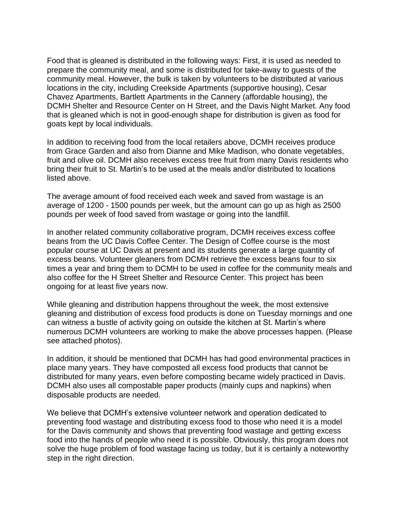Food that is gleaned is distributed in the following ways: First, it is used as needed to prepare the community meal, and some is distributed for take-away to guests of the community meal. However, the bulk is taken by volunteers to be distributed at various locations in the city, including Creekside Apartments (supportive housing), Cesar Chavez Apartments, Bartlett Apartments in the Cannery (affordable housing), the DCMH Shelter and Resource Center on H Street, and the Davis Night Market. Any food that is gleaned which is not in good-enough shape for distribution is given as food for goats kept by local individuals.

In addition to receiving food from the local retailers above, DCMH receives produce from Grace Garden and also from Dianne and Mike Madison, who donate vegetables, fruit and olive oil. DCMH also receives excess tree fruit from many Davis residents who bring their fruit to St. Martin's to be used at the meals and/or distributed to locations listed above.

The average amount of food received each week and saved from wastage is an average of 1200 - 1500 pounds per week, but the amount can go up as high as 2500 pounds per week of food saved from wastage or going into the landfill.

In another related community collaborative program, DCMH receives excess coffee beans from the UC Davis Coffee Center. The Design of Coffee course is the most popular course at UC Davis at present and its students generate a large quantity of excess beans. Volunteer gleaners from DCMH retrieve the excess beans four to six times a year and bring them to DCMH to be used in coffee for the community meals and also coffee for the H Street Shelter and Resource Center. This project has been ongoing for at least five years now.

While gleaning and distribution happens throughout the week, the most extensive gleaning and distribution of excess food products is done on Tuesday mornings and one can witness a bustle of activity going on outside the kitchen at St. Martin's where numerous DCMH volunteers are working to make the above processes happen. (Please see attached photos).

In addition, it should be mentioned that DCMH has had good environmental practices in place many years. They have composted all excess food products that cannot be distributed for many years, even before composting became widely practiced in Davis. DCMH also uses all compostable paper products (mainly cups and napkins) when disposable products are needed.

We believe that DCMH's extensive volunteer network and operation dedicated to preventing food wastage and distributing excess food to those who need it is a model for the Davis community and shows that preventing food wastage and getting excess food into the hands of people who need it is possible. Obviously, this program does not solve the huge problem of food wastage facing us today, but it is certainly a noteworthy step in the right direction.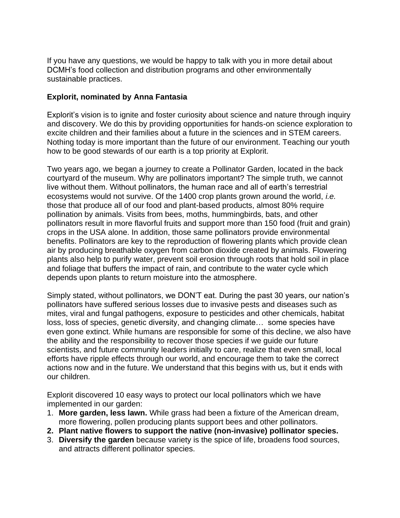If you have any questions, we would be happy to talk with you in more detail about DCMH's food collection and distribution programs and other environmentally sustainable practices.

## **Explorit, nominated by Anna Fantasia**

Explorit's vision is to ignite and foster curiosity about science and nature through inquiry and discovery. We do this by providing opportunities for hands-on science exploration to excite children and their families about a future in the sciences and in STEM careers. Nothing today is more important than the future of our environment. Teaching our youth how to be good stewards of our earth is a top priority at Explorit.

Two years ago, we began a journey to create a Pollinator Garden, located in the back courtyard of the museum. Why are pollinators important? The simple truth, we cannot live without them. Without pollinators, the human race and all of earth's terrestrial ecosystems would not survive. Of the 1400 crop plants grown around the world, *i.e.* those that produce all of our food and plant-based products, almost 80% require pollination by animals. Visits from bees, moths, hummingbirds, bats, and other pollinators result in more flavorful fruits and support more than 150 food (fruit and grain) crops in the USA alone. In addition, those same pollinators provide environmental benefits. Pollinators are key to the reproduction of flowering plants which provide clean air by producing breathable oxygen from carbon dioxide created by animals. Flowering plants also help to purify water, prevent soil erosion through roots that hold soil in place and foliage that buffers the impact of rain, and contribute to the water cycle which depends upon plants to return moisture into the atmosphere.

Simply stated, without pollinators, we DON'T eat. During the past 30 years, our nation's pollinators have suffered serious losses due to invasive pests and diseases such as mites, viral and fungal pathogens, exposure to pesticides and other chemicals, habitat loss, loss of species, genetic diversity, and changing climate… some species have even gone extinct. While humans are responsible for some of this decline, we also have the ability and the responsibility to recover those species if we guide our future scientists, and future community leaders initially to care, realize that even small, local efforts have ripple effects through our world, and encourage them to take the correct actions now and in the future. We understand that this begins with us, but it ends with our children.

Explorit discovered 10 easy ways to protect our local pollinators which we have implemented in our garden:

- 1. **More garden, less lawn.** While grass had been a fixture of the American dream, more flowering, pollen producing plants support bees and other pollinators.
- **2. Plant native flowers to support the native (non-invasive) pollinator species.**
- 3. **Diversify the garden** because variety is the spice of life, broadens food sources, and attracts different pollinator species.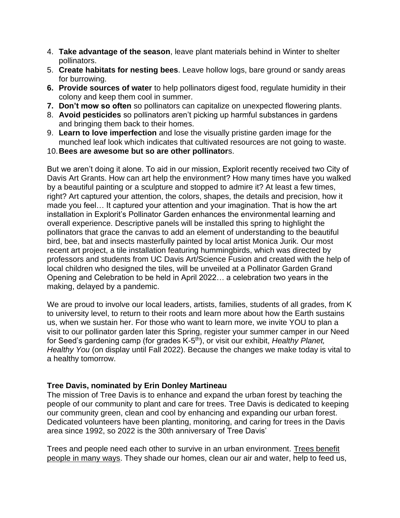- 4. **Take advantage of the season**, leave plant materials behind in Winter to shelter pollinators.
- 5. **Create habitats for nesting bees**. Leave hollow logs, bare ground or sandy areas for burrowing.
- **6. Provide sources of water** to help pollinators digest food, regulate humidity in their colony and keep them cool in summer.
- **7. Don't mow so often** so pollinators can capitalize on unexpected flowering plants.
- 8. **Avoid pesticides** so pollinators aren't picking up harmful substances in gardens and bringing them back to their homes.
- 9. **Learn to love imperfection** and lose the visually pristine garden image for the munched leaf look which indicates that cultivated resources are not going to waste.
- 10.**Bees are awesome but so are other pollinator**s.

But we aren't doing it alone. To aid in our mission, Explorit recently received two City of Davis Art Grants. How can art help the environment? How many times have you walked by a beautiful painting or a sculpture and stopped to admire it? At least a few times, right? Art captured your attention, the colors, shapes, the details and precision, how it made you feel… It captured your attention and your imagination. That is how the art installation in Explorit's Pollinator Garden enhances the environmental learning and overall experience. Descriptive panels will be installed this spring to highlight the pollinators that grace the canvas to add an element of understanding to the beautiful bird, bee, bat and insects masterfully painted by local artist Monica Jurik. Our most recent art project, a tile installation featuring hummingbirds, which was directed by professors and students from UC Davis Art/Science Fusion and created with the help of local children who designed the tiles, will be unveiled at a Pollinator Garden Grand Opening and Celebration to be held in April 2022… a celebration two years in the making, delayed by a pandemic.

We are proud to involve our local leaders, artists, families, students of all grades, from K to university level, to return to their roots and learn more about how the Earth sustains us, when we sustain her. For those who want to learn more, we invite YOU to plan a visit to our pollinator garden later this Spring, register your summer camper in our Need for Seed's gardening camp (for grades K-5 th), or visit our exhibit, *Healthy Planet, Healthy You* (on display until Fall 2022). Because the changes we make today is vital to a healthy tomorrow.

# **Tree Davis, nominated by Erin Donley Martineau**

The mission of Tree Davis is to enhance and expand the urban forest by teaching the people of our community to plant and care for trees. Tree Davis is dedicated to keeping our community green, clean and cool by enhancing and expanding our urban forest. Dedicated volunteers have been planting, monitoring, and caring for trees in the Davis area since 1992, so 2022 is the 30th anniversary of Tree Davis'

Trees and people need each other to survive in an urban environment. Trees [benefit](https://www.treedavis.org/resources-v2-0/) [people](https://www.treedavis.org/resources-v2-0/) in many ways. They shade our homes, clean our air and water, help to feed us,